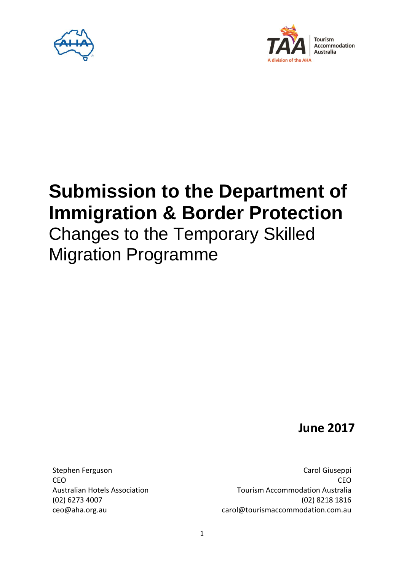



# **Submission to the Department of Immigration & Border Protection**

## Changes to the Temporary Skilled Migration Programme

**June 2017**

Stephen Ferguson **CEO** Australian Hotels Association (02) 6273 4007 ceo@aha.org.au

Carol Giuseppi **CEO** Tourism Accommodation Australia (02) 8218 1816 carol@tourismaccommodation.com.au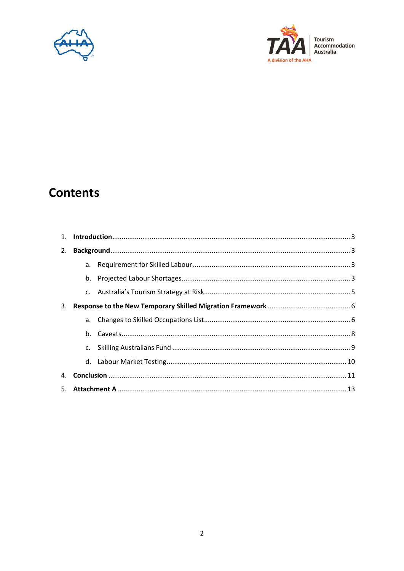



### **Contents**

| $1_{\cdot}$ |         |  |  |  |
|-------------|---------|--|--|--|
| 2.          |         |  |  |  |
|             |         |  |  |  |
|             |         |  |  |  |
|             |         |  |  |  |
| 3.          |         |  |  |  |
|             |         |  |  |  |
|             | $h_{-}$ |  |  |  |
|             | C.      |  |  |  |
|             |         |  |  |  |
| 4.          |         |  |  |  |
| 5.          |         |  |  |  |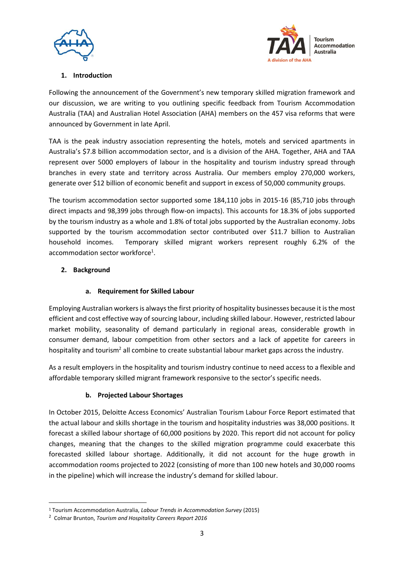



#### **1. Introduction**

Following the announcement of the Government's new temporary skilled migration framework and our discussion, we are writing to you outlining specific feedback from Tourism Accommodation Australia (TAA) and Australian Hotel Association (AHA) members on the 457 visa reforms that were announced by Government in late April.

TAA is the peak industry association representing the hotels, motels and serviced apartments in Australia's \$7.8 billion accommodation sector, and is a division of the AHA. Together, AHA and TAA represent over 5000 employers of labour in the hospitality and tourism industry spread through branches in every state and territory across Australia. Our members employ 270,000 workers, generate over \$12 billion of economic benefit and support in excess of 50,000 community groups.

The tourism accommodation sector supported some 184,110 jobs in 2015-16 (85,710 jobs through direct impacts and 98,399 jobs through flow-on impacts). This accounts for 18.3% of jobs supported by the tourism industry as a whole and 1.8% of total jobs supported by the Australian economy. Jobs supported by the tourism accommodation sector contributed over \$11.7 billion to Australian household incomes. Temporary skilled migrant workers represent roughly 6.2% of the accommodation sector workforce<sup>1</sup>.

#### **2. Background**

#### **a. Requirement for Skilled Labour**

Employing Australian workers is always the first priority of hospitality businesses because it is the most efficient and cost effective way of sourcing labour, including skilled labour. However, restricted labour market mobility, seasonality of demand particularly in regional areas, considerable growth in consumer demand, labour competition from other sectors and a lack of appetite for careers in hospitality and tourism<sup>2</sup> all combine to create substantial labour market gaps across the industry.

As a result employers in the hospitality and tourism industry continue to need access to a flexible and affordable temporary skilled migrant framework responsive to the sector's specific needs.

#### **b. Projected Labour Shortages**

In October 2015, Deloitte Access Economics' Australian Tourism Labour Force Report estimated that the actual labour and skills shortage in the tourism and hospitality industries was 38,000 positions. It forecast a skilled labour shortage of 60,000 positions by 2020. This report did not account for policy changes, meaning that the changes to the skilled migration programme could exacerbate this forecasted skilled labour shortage. Additionally, it did not account for the huge growth in accommodation rooms projected to 2022 (consisting of more than 100 new hotels and 30,000 rooms in the pipeline) which will increase the industry's demand for skilled labour.

**.** 

<sup>1</sup> Tourism Accommodation Australia, *Labour Trends in Accommodation Survey* (2015)

<sup>2</sup> Colmar Brunton, *Tourism and Hospitality Careers Report 2016*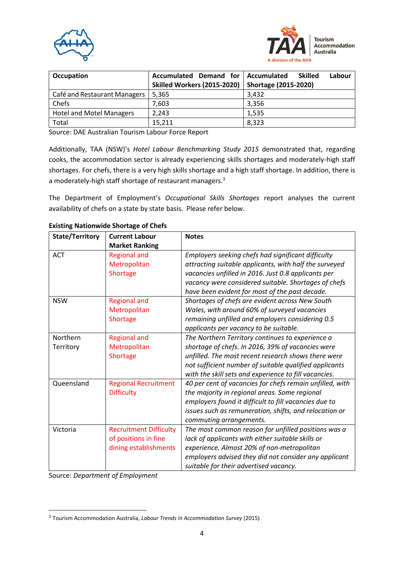



| Occupation                      | Accumulated Demand for             | Accumulated<br><b>Skilled</b><br>Labour |
|---------------------------------|------------------------------------|-----------------------------------------|
|                                 | <b>Skilled Workers (2015-2020)</b> | <b>Shortage (2015-2020)</b>             |
| Café and Restaurant Managers    | 5,365                              | 3,432                                   |
| Chefs                           | 7,603                              | 3,356                                   |
| <b>Hotel and Motel Managers</b> | 2.243                              | 1,535                                   |
| Total                           | 15.211                             | 8,323                                   |

Source: DAE Australian Tourism Labour Force Report

Additionally, TAA (NSW)'s *Hotel Labour Benchmarking Study 2015* demonstrated that, regarding cooks, the accommodation sector is already experiencing skills shortages and moderately-high staff shortages. For chefs, there is a very high skills shortage and a high staff shortage. In addition, there is a moderately-high staff shortage of restaurant managers.<sup>3</sup>

The Department of Employment's *Occupational Skills Shortages* report analyses the current availability of chefs on a state by state basis. Please refer below.

| State/Territory       | <b>Current Labour</b><br><b>Market Ranking</b>                                 | <b>Notes</b>                                                                                                                                                                                                                                                                    |
|-----------------------|--------------------------------------------------------------------------------|---------------------------------------------------------------------------------------------------------------------------------------------------------------------------------------------------------------------------------------------------------------------------------|
| <b>ACT</b>            | <b>Regional and</b><br>Metropolitan<br>Shortage                                | Employers seeking chefs had significant difficulty<br>attracting suitable applicants, with half the surveyed<br>vacancies unfilled in 2016. Just 0.8 applicants per<br>vacancy were considered suitable. Shortages of chefs<br>have been evident for most of the past decade.   |
| <b>NSW</b>            | <b>Regional and</b><br>Metropolitan<br>Shortage                                | Shortages of chefs are evident across New South<br>Wales, with around 60% of surveyed vacancies<br>remaining unfilled and employers considering 0.5<br>applicants per vacancy to be suitable.                                                                                   |
| Northern<br>Territory | <b>Regional and</b><br>Metropolitan<br>Shortage                                | The Northern Territory continues to experience a<br>shortage of chefs. In 2016, 39% of vacancies were<br>unfilled. The most recent research shows there were<br>not sufficient number of suitable qualified applicants<br>with the skill sets and experience to fill vacancies. |
| Queensland            | <b>Regional Recruitment</b><br><b>Difficulty</b>                               | 40 per cent of vacancies for chefs remain unfilled, with<br>the majority in regional areas. Some regional<br>employers found it difficult to fill vacancies due to<br>issues such as remuneration, shifts, and relocation or<br>commuting arrangements.                         |
| Victoria              | <b>Recruitment Difficulty</b><br>of positions in fine<br>dining establishments | The most common reason for unfilled positions was a<br>lack of applicants with either suitable skills or<br>experience. Almost 20% of non-metropolitan<br>employers advised they did not consider any applicant<br>suitable for their advertised vacancy.                       |

**Existing Nationwide Shortage of Chefs**

Source: *Department of Employment*

**.** 

<sup>3</sup> Tourism Accommodation Australia, *Labour Trends in Accommodation Survey* (2015)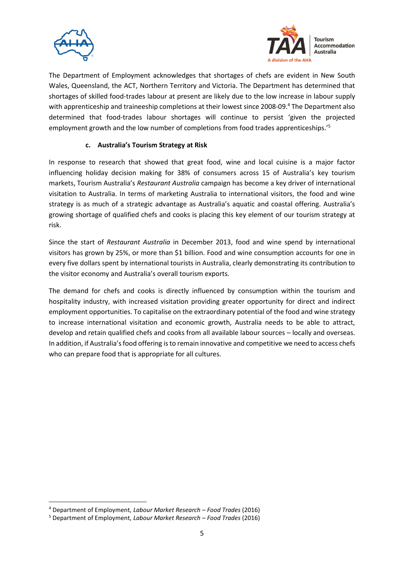



The Department of Employment acknowledges that shortages of chefs are evident in New South Wales, Queensland, the ACT, Northern Territory and Victoria. The Department has determined that shortages of skilled food-trades labour at present are likely due to the low increase in labour supply with apprenticeship and traineeship completions at their lowest since 2008-09.<sup>4</sup> The Department also determined that food-trades labour shortages will continue to persist 'given the projected employment growth and the low number of completions from food trades apprenticeships.<sup>'5</sup>

#### **c. Australia's Tourism Strategy at Risk**

In response to research that showed that great food, wine and local cuisine is a major factor influencing holiday decision making for 38% of consumers across 15 of Australia's key tourism markets, Tourism Australia's *Restaurant Australia* campaign has become a key driver of international visitation to Australia. In terms of marketing Australia to international visitors, the food and wine strategy is as much of a strategic advantage as Australia's aquatic and coastal offering. Australia's growing shortage of qualified chefs and cooks is placing this key element of our tourism strategy at risk.

Since the start of *Restaurant Australia* in December 2013, food and wine spend by international visitors has grown by 25%, or more than \$1 billion. Food and wine consumption accounts for one in every five dollars spent by international tourists in Australia, clearly demonstrating its contribution to the visitor economy and Australia's overall tourism exports.

The demand for chefs and cooks is directly influenced by consumption within the tourism and hospitality industry, with increased visitation providing greater opportunity for direct and indirect employment opportunities. To capitalise on the extraordinary potential of the food and wine strategy to increase international visitation and economic growth, Australia needs to be able to attract, develop and retain qualified chefs and cooks from all available labour sources – locally and overseas. In addition, if Australia's food offering is to remain innovative and competitive we need to access chefs who can prepare food that is appropriate for all cultures.

**.** 

<sup>4</sup> Department of Employment, *Labour Market Research – Food Trades* (2016)

<sup>5</sup> Department of Employment, *Labour Market Research – Food Trades* (2016)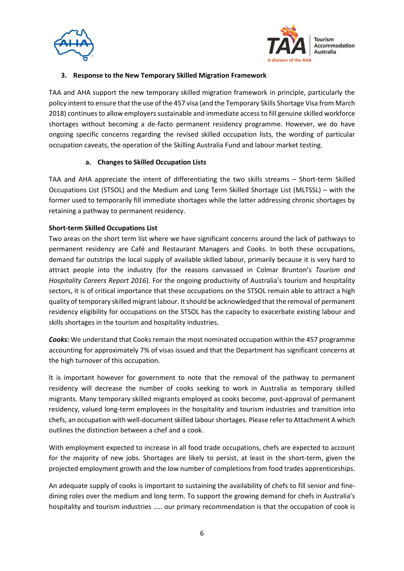



#### **3. Response to the New Temporary Skilled Migration Framework**

TAA and AHA support the new temporary skilled migration framework in principle, particularly the policy intent to ensure that the use of the 457 visa (and the Temporary Skills Shortage Visa from March 2018) continues to allow employers sustainable and immediate access to fill genuine skilled workforce shortages without becoming a de-facto permanent residency programme. However, we do have ongoing specific concerns regarding the revised skilled occupation lists, the wording of particular occupation caveats, the operation of the Skilling Australia Fund and labour market testing.

#### **a. Changes to Skilled Occupation Lists**

TAA and AHA appreciate the intent of differentiating the two skills streams – Short-term Skilled Occupations List (STSOL) and the Medium and Long Term Skilled Shortage List (MLTSSL) – with the former used to temporarily fill immediate shortages while the latter addressing chronic shortages by retaining a pathway to permanent residency.

#### **Short-term Skilled Occupations List**

Two areas on the short term list where we have significant concerns around the lack of pathways to permanent residency are Café and Restaurant Managers and Cooks. In both these occupations, demand far outstrips the local supply of available skilled labour, primarily because it is very hard to attract people into the industry (for the reasons canvassed in Colmar Brunton's *Tourism and Hospitality Careers Report 2016*). For the ongoing productivity of Australia's tourism and hospitality sectors, it is of critical importance that these occupations on the STSOL remain able to attract a high quality of temporary skilled migrant labour. It should be acknowledged that the removal of permanent residency eligibility for occupations on the STSOL has the capacity to exacerbate existing labour and skills shortages in the tourism and hospitality industries.

*Cooks:* We understand that Cooks remain the most nominated occupation within the 457 programme accounting for approximately 7% of visas issued and that the Department has significant concerns at the high turnover of this occupation.

It is important however for government to note that the removal of the pathway to permanent residency will decrease the number of cooks seeking to work in Australia as temporary skilled migrants. Many temporary skilled migrants employed as cooks become, post-approval of permanent residency, valued long-term employees in the hospitality and tourism industries and transition into chefs, an occupation with well-document skilled labour shortages. Please refer to Attachment A which outlines the distinction between a chef and a cook.

With employment expected to increase in all food trade occupations, chefs are expected to account for the majority of new jobs. Shortages are likely to persist, at least in the short-term, given the projected employment growth and the low number of completions from food trades apprenticeships.

An adequate supply of cooks is important to sustaining the availability of chefs to fill senior and finedining roles over the medium and long term. To support the growing demand for chefs in Australia's hospitality and tourism industries ….. our primary recommendation is that the occupation of cook is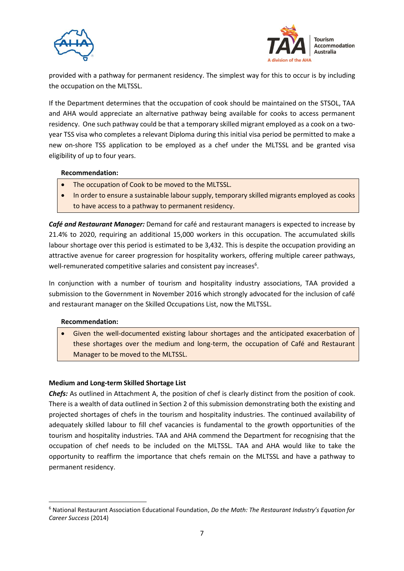



provided with a pathway for permanent residency. The simplest way for this to occur is by including the occupation on the MLTSSL.

If the Department determines that the occupation of cook should be maintained on the STSOL, TAA and AHA would appreciate an alternative pathway being available for cooks to access permanent residency. One such pathway could be that a temporary skilled migrant employed as a cook on a twoyear TSS visa who completes a relevant Diploma during this initial visa period be permitted to make a new on-shore TSS application to be employed as a chef under the MLTSSL and be granted visa eligibility of up to four years.

#### **Recommendation:**

- The occupation of Cook to be moved to the MLTSSL.
- In order to ensure a sustainable labour supply, temporary skilled migrants employed as cooks to have access to a pathway to permanent residency.

*Café and Restaurant Manager:* Demand for café and restaurant managers is expected to increase by 21.4% to 2020, requiring an additional 15,000 workers in this occupation. The accumulated skills labour shortage over this period is estimated to be 3,432. This is despite the occupation providing an attractive avenue for career progression for hospitality workers, offering multiple career pathways, well-remunerated competitive salaries and consistent pay increases<sup>6</sup>.

In conjunction with a number of tourism and hospitality industry associations, TAA provided a submission to the Government in November 2016 which strongly advocated for the inclusion of café and restaurant manager on the Skilled Occupations List, now the MLTSSL.

#### **Recommendation:**

**.** 

 Given the well-documented existing labour shortages and the anticipated exacerbation of these shortages over the medium and long-term, the occupation of Café and Restaurant Manager to be moved to the MLTSSL.

#### **Medium and Long-term Skilled Shortage List**

*Chefs:* As outlined in Attachment A, the position of chef is clearly distinct from the position of cook. There is a wealth of data outlined in Section 2 of this submission demonstrating both the existing and projected shortages of chefs in the tourism and hospitality industries. The continued availability of adequately skilled labour to fill chef vacancies is fundamental to the growth opportunities of the tourism and hospitality industries. TAA and AHA commend the Department for recognising that the occupation of chef needs to be included on the MLTSSL. TAA and AHA would like to take the opportunity to reaffirm the importance that chefs remain on the MLTSSL and have a pathway to permanent residency.

<sup>6</sup> National Restaurant Association Educational Foundation, *Do the Math: The Restaurant Industry's Equation for Career Success* (2014)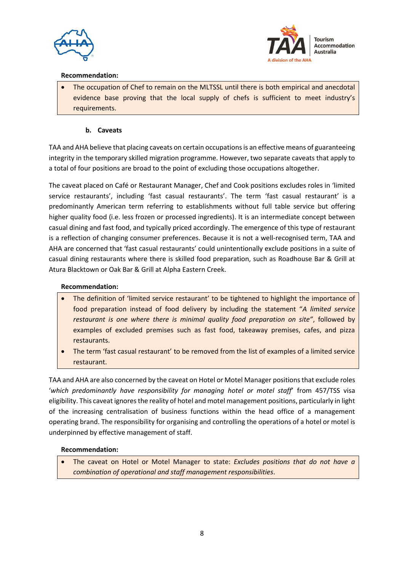



#### **Recommendation:**

 The occupation of Chef to remain on the MLTSSL until there is both empirical and anecdotal evidence base proving that the local supply of chefs is sufficient to meet industry's requirements.

#### **b. Caveats**

TAA and AHA believe that placing caveats on certain occupations is an effective means of guaranteeing integrity in the temporary skilled migration programme. However, two separate caveats that apply to a total of four positions are broad to the point of excluding those occupations altogether.

The caveat placed on Café or Restaurant Manager, Chef and Cook positions excludes roles in 'limited service restaurants', including 'fast casual restaurants'. The term 'fast casual restaurant' is a predominantly American term referring to establishments without full table service but offering higher quality food (i.e. less frozen or processed ingredients). It is an intermediate concept between casual dining and fast food, and typically priced accordingly. The emergence of this type of restaurant is a reflection of changing consumer preferences. Because it is not a well-recognised term, TAA and AHA are concerned that 'fast casual restaurants' could unintentionally exclude positions in a suite of casual dining restaurants where there is skilled food preparation, such as Roadhouse Bar & Grill at Atura Blacktown or Oak Bar & Grill at Alpha Eastern Creek.

#### **Recommendation:**

- The definition of 'limited service restaurant' to be tightened to highlight the importance of food preparation instead of food delivery by including the statement "*A limited service restaurant is one where there is minimal quality food preparation on site"*, followed by examples of excluded premises such as fast food, takeaway premises, cafes, and pizza restaurants.
- The term 'fast casual restaurant' to be removed from the list of examples of a limited service restaurant.

TAA and AHA are also concerned by the caveat on Hotel or Motel Manager positions that exclude roles '*which predominantly have responsibility for managing hotel or motel staff*' from 457/TSS visa eligibility. This caveat ignores the reality of hotel and motel management positions, particularly in light of the increasing centralisation of business functions within the head office of a management operating brand. The responsibility for organising and controlling the operations of a hotel or motel is underpinned by effective management of staff.

#### **Recommendation:**

 The caveat on Hotel or Motel Manager to state: *Excludes positions that do not have a combination of operational and staff management responsibilities*.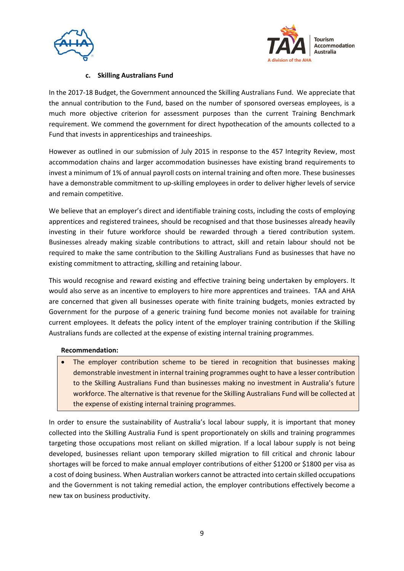



#### **c. Skilling Australians Fund**

In the 2017-18 Budget, the Government announced the Skilling Australians Fund. We appreciate that the annual contribution to the Fund, based on the number of sponsored overseas employees, is a much more objective criterion for assessment purposes than the current Training Benchmark requirement. We commend the government for direct hypothecation of the amounts collected to a Fund that invests in apprenticeships and traineeships.

However as outlined in our submission of July 2015 in response to the 457 Integrity Review, most accommodation chains and larger accommodation businesses have existing brand requirements to invest a minimum of 1% of annual payroll costs on internal training and often more. These businesses have a demonstrable commitment to up-skilling employees in order to deliver higher levels of service and remain competitive.

We believe that an employer's direct and identifiable training costs, including the costs of employing apprentices and registered trainees, should be recognised and that those businesses already heavily investing in their future workforce should be rewarded through a tiered contribution system. Businesses already making sizable contributions to attract, skill and retain labour should not be required to make the same contribution to the Skilling Australians Fund as businesses that have no existing commitment to attracting, skilling and retaining labour.

This would recognise and reward existing and effective training being undertaken by employers. It would also serve as an incentive to employers to hire more apprentices and trainees. TAA and AHA are concerned that given all businesses operate with finite training budgets, monies extracted by Government for the purpose of a generic training fund become monies not available for training current employees. It defeats the policy intent of the employer training contribution if the Skilling Australians funds are collected at the expense of existing internal training programmes.

#### **Recommendation:**

 The employer contribution scheme to be tiered in recognition that businesses making demonstrable investment in internal training programmes ought to have a lesser contribution to the Skilling Australians Fund than businesses making no investment in Australia's future workforce. The alternative is that revenue for the Skilling Australians Fund will be collected at the expense of existing internal training programmes.

In order to ensure the sustainability of Australia's local labour supply, it is important that money collected into the Skilling Australia Fund is spent proportionately on skills and training programmes targeting those occupations most reliant on skilled migration. If a local labour supply is not being developed, businesses reliant upon temporary skilled migration to fill critical and chronic labour shortages will be forced to make annual employer contributions of either \$1200 or \$1800 per visa as a cost of doing business. When Australian workers cannot be attracted into certain skilled occupations and the Government is not taking remedial action, the employer contributions effectively become a new tax on business productivity.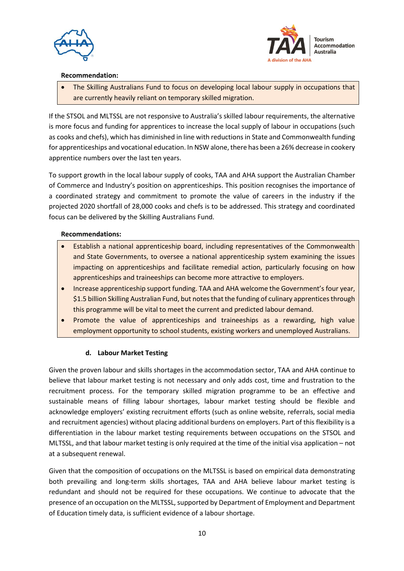



#### **Recommendation:**

 The Skilling Australians Fund to focus on developing local labour supply in occupations that are currently heavily reliant on temporary skilled migration.

If the STSOL and MLTSSL are not responsive to Australia's skilled labour requirements, the alternative is more focus and funding for apprentices to increase the local supply of labour in occupations (such as cooks and chefs), which has diminished in line with reductions in State and Commonwealth funding for apprenticeships and vocational education. In NSW alone, there has been a 26% decrease in cookery apprentice numbers over the last ten years.

To support growth in the local labour supply of cooks, TAA and AHA support the Australian Chamber of Commerce and Industry's position on apprenticeships. This position recognises the importance of a coordinated strategy and commitment to promote the value of careers in the industry if the projected 2020 shortfall of 28,000 cooks and chefs is to be addressed. This strategy and coordinated focus can be delivered by the Skilling Australians Fund.

#### **Recommendations:**

- Establish a national apprenticeship board, including representatives of the Commonwealth and State Governments, to oversee a national apprenticeship system examining the issues impacting on apprenticeships and facilitate remedial action, particularly focusing on how apprenticeships and traineeships can become more attractive to employers.
- Increase apprenticeship support funding. TAA and AHA welcome the Government's four year, \$1.5 billion Skilling Australian Fund, but notes that the funding of culinary apprentices through this programme will be vital to meet the current and predicted labour demand.
- Promote the value of apprenticeships and traineeships as a rewarding, high value employment opportunity to school students, existing workers and unemployed Australians.

#### **d. Labour Market Testing**

Given the proven labour and skills shortages in the accommodation sector, TAA and AHA continue to believe that labour market testing is not necessary and only adds cost, time and frustration to the recruitment process. For the temporary skilled migration programme to be an effective and sustainable means of filling labour shortages, labour market testing should be flexible and acknowledge employers' existing recruitment efforts (such as online website, referrals, social media and recruitment agencies) without placing additional burdens on employers. Part of this flexibility is a differentiation in the labour market testing requirements between occupations on the STSOL and MLTSSL, and that labour market testing is only required at the time of the initial visa application – not at a subsequent renewal.

Given that the composition of occupations on the MLTSSL is based on empirical data demonstrating both prevailing and long-term skills shortages, TAA and AHA believe labour market testing is redundant and should not be required for these occupations. We continue to advocate that the presence of an occupation on the MLTSSL, supported by Department of Employment and Department of Education timely data, is sufficient evidence of a labour shortage.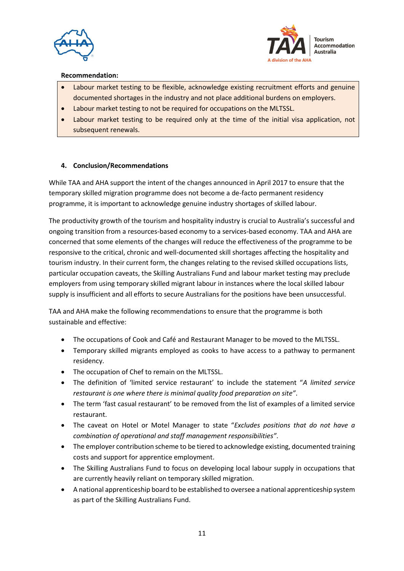



#### **Recommendation:**

- Labour market testing to be flexible, acknowledge existing recruitment efforts and genuine documented shortages in the industry and not place additional burdens on employers.
- Labour market testing to not be required for occupations on the MLTSSL.
- Labour market testing to be required only at the time of the initial visa application, not subsequent renewals.

#### **4. Conclusion/Recommendations**

While TAA and AHA support the intent of the changes announced in April 2017 to ensure that the temporary skilled migration programme does not become a de-facto permanent residency programme, it is important to acknowledge genuine industry shortages of skilled labour.

The productivity growth of the tourism and hospitality industry is crucial to Australia's successful and ongoing transition from a resources-based economy to a services-based economy. TAA and AHA are concerned that some elements of the changes will reduce the effectiveness of the programme to be responsive to the critical, chronic and well-documented skill shortages affecting the hospitality and tourism industry. In their current form, the changes relating to the revised skilled occupations lists, particular occupation caveats, the Skilling Australians Fund and labour market testing may preclude employers from using temporary skilled migrant labour in instances where the local skilled labour supply is insufficient and all efforts to secure Australians for the positions have been unsuccessful.

TAA and AHA make the following recommendations to ensure that the programme is both sustainable and effective:

- The occupations of Cook and Café and Restaurant Manager to be moved to the MLTSSL.
- Temporary skilled migrants employed as cooks to have access to a pathway to permanent residency.
- The occupation of Chef to remain on the MLTSSL.
- The definition of 'limited service restaurant' to include the statement "*A limited service restaurant is one where there is minimal quality food preparation on site"*.
- The term 'fast casual restaurant' to be removed from the list of examples of a limited service restaurant.
- The caveat on Hotel or Motel Manager to state "*Excludes positions that do not have a combination of operational and staff management responsibilities"*.
- The employer contribution scheme to be tiered to acknowledge existing, documented training costs and support for apprentice employment.
- The Skilling Australians Fund to focus on developing local labour supply in occupations that are currently heavily reliant on temporary skilled migration.
- A national apprenticeship board to be established to oversee a national apprenticeship system as part of the Skilling Australians Fund.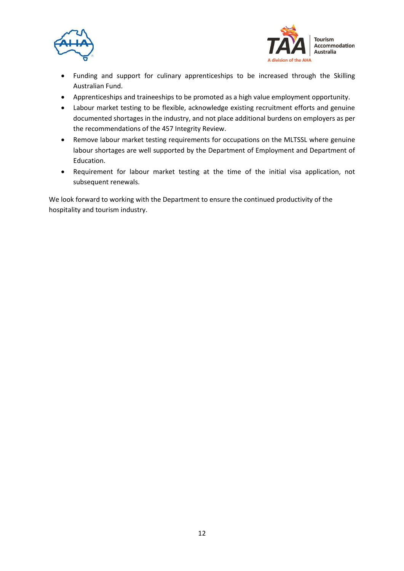



- Funding and support for culinary apprenticeships to be increased through the Skilling Australian Fund.
- Apprenticeships and traineeships to be promoted as a high value employment opportunity.
- Labour market testing to be flexible, acknowledge existing recruitment efforts and genuine documented shortages in the industry, and not place additional burdens on employers as per the recommendations of the 457 Integrity Review.
- Remove labour market testing requirements for occupations on the MLTSSL where genuine labour shortages are well supported by the Department of Employment and Department of Education.
- Requirement for labour market testing at the time of the initial visa application, not subsequent renewals.

We look forward to working with the Department to ensure the continued productivity of the hospitality and tourism industry.